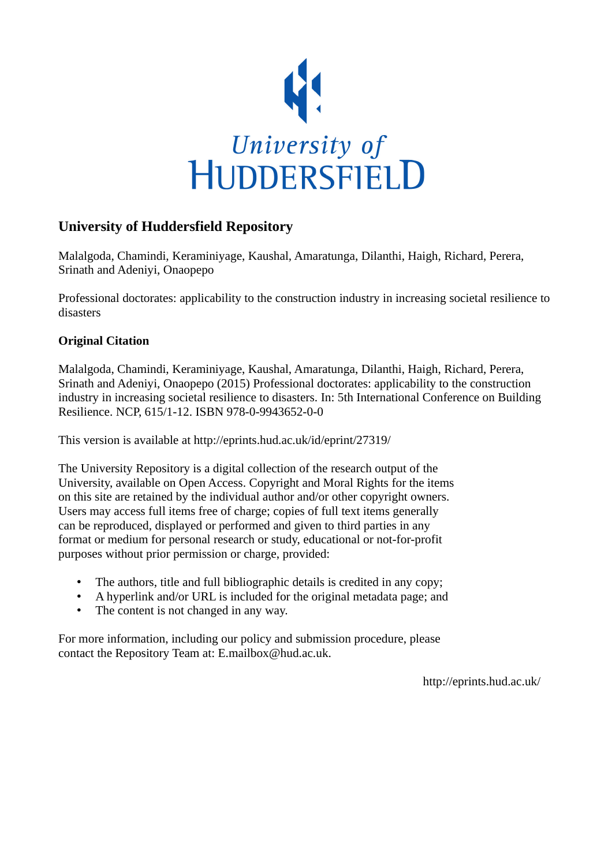

### **University of Huddersfield Repository**

Malalgoda, Chamindi, Keraminiyage, Kaushal, Amaratunga, Dilanthi, Haigh, Richard, Perera, Srinath and Adeniyi, Onaopepo

Professional doctorates: applicability to the construction industry in increasing societal resilience to disasters

#### **Original Citation**

Malalgoda, Chamindi, Keraminiyage, Kaushal, Amaratunga, Dilanthi, Haigh, Richard, Perera, Srinath and Adeniyi, Onaopepo (2015) Professional doctorates: applicability to the construction industry in increasing societal resilience to disasters. In: 5th International Conference on Building Resilience. NCP, 615/1-12. ISBN 978-0-9943652-0-0

This version is available at http://eprints.hud.ac.uk/id/eprint/27319/

The University Repository is a digital collection of the research output of the University, available on Open Access. Copyright and Moral Rights for the items on this site are retained by the individual author and/or other copyright owners. Users may access full items free of charge; copies of full text items generally can be reproduced, displayed or performed and given to third parties in any format or medium for personal research or study, educational or not-for-profit purposes without prior permission or charge, provided:

- The authors, title and full bibliographic details is credited in any copy;
- A hyperlink and/or URL is included for the original metadata page; and
- The content is not changed in any way.

For more information, including our policy and submission procedure, please contact the Repository Team at: E.mailbox@hud.ac.uk.

http://eprints.hud.ac.uk/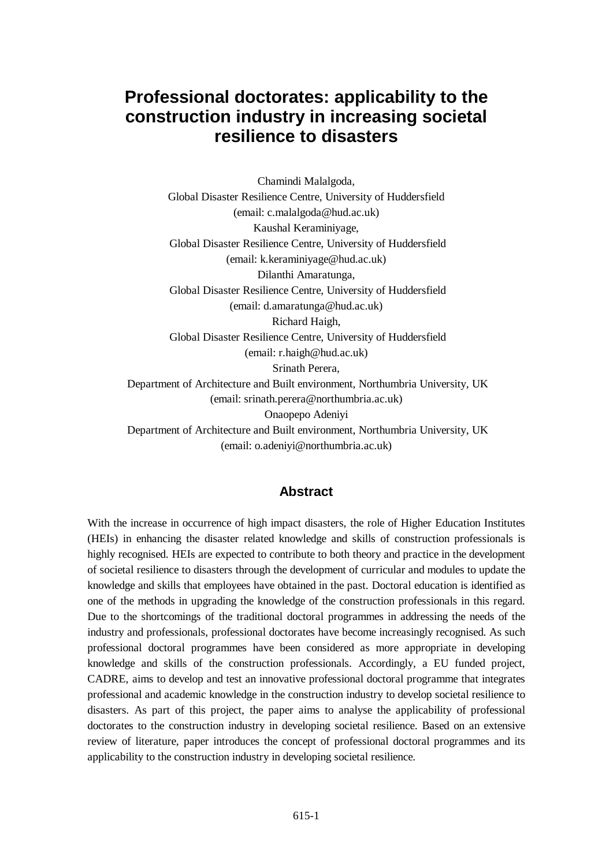# **Professional doctorates: applicability to the construction industry in increasing societal resilience to disasters**

Chamindi Malalgoda, Global Disaster Resilience Centre, University of Huddersfield (email: c.malalgoda@hud.ac.uk) Kaushal Keraminiyage, Global Disaster Resilience Centre, University of Huddersfield (email: k.keraminiyage@hud.ac.uk) Dilanthi Amaratunga, Global Disaster Resilience Centre, University of Huddersfield (email: d.amaratunga@hud.ac.uk) Richard Haigh, Global Disaster Resilience Centre, University of Huddersfield (email: r.haigh@hud.ac.uk) Srinath Perera, Department of Architecture and Built environment, Northumbria University, UK (email: srinath.perera@northumbria.ac.uk) Onaopepo Adeniyi Department of Architecture and Built environment, Northumbria University, UK (email: o.adeniyi@northumbria.ac.uk)

#### **Abstract**

With the increase in occurrence of high impact disasters, the role of Higher Education Institutes (HEIs) in enhancing the disaster related knowledge and skills of construction professionals is highly recognised. HEIs are expected to contribute to both theory and practice in the development of societal resilience to disasters through the development of curricular and modules to update the knowledge and skills that employees have obtained in the past. Doctoral education is identified as one of the methods in upgrading the knowledge of the construction professionals in this regard. Due to the shortcomings of the traditional doctoral programmes in addressing the needs of the industry and professionals, professional doctorates have become increasingly recognised. As such professional doctoral programmes have been considered as more appropriate in developing knowledge and skills of the construction professionals. Accordingly, a EU funded project, CADRE, aims to develop and test an innovative professional doctoral programme that integrates professional and academic knowledge in the construction industry to develop societal resilience to disasters. As part of this project, the paper aims to analyse the applicability of professional doctorates to the construction industry in developing societal resilience. Based on an extensive review of literature, paper introduces the concept of professional doctoral programmes and its applicability to the construction industry in developing societal resilience.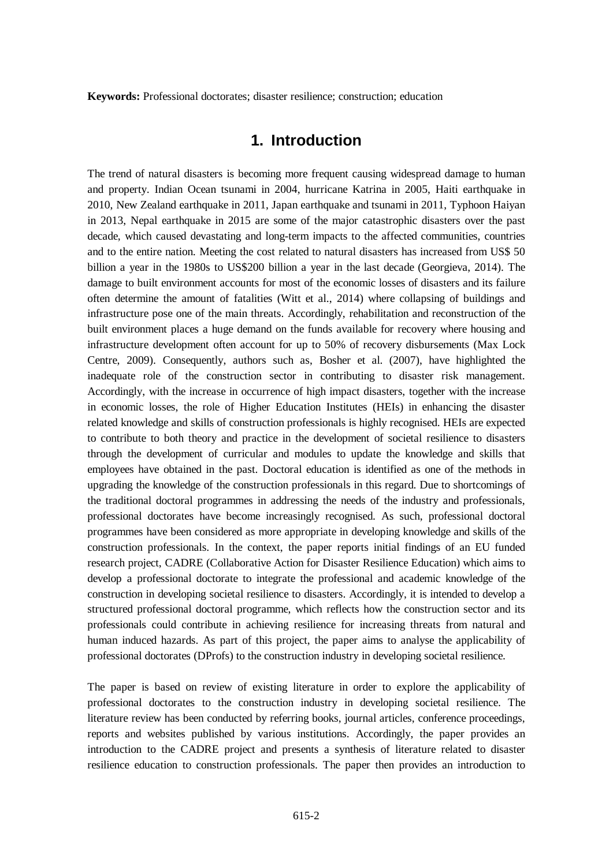**Keywords:** Professional doctorates; disaster resilience; construction; education

### **1. Introduction**

The trend of natural disasters is becoming more frequent causing widespread damage to human and property. Indian Ocean tsunami in 2004, hurricane Katrina in 2005, Haiti earthquake in 2010, New Zealand earthquake in 2011, Japan earthquake and tsunami in 2011, Typhoon Haiyan in 2013, Nepal earthquake in 2015 are some of the major catastrophic disasters over the past decade, which caused devastating and long-term impacts to the affected communities, countries and to the entire nation. Meeting the cost related to natural disasters has increased from US\$ 50 billion a year in the 1980s to US\$200 billion a year in the last decade [\(Georgieva, 2014\)](#page-11-0). The damage to built environment accounts for most of the economic losses of disasters and its failure often determine the amount of fatalities [\(Witt et al., 2014\)](#page-12-0) where collapsing of buildings and infrastructure pose one of the main threats. Accordingly, rehabilitation and reconstruction of the built environment places a huge demand on the funds available for recovery where housing and infrastructure development often account for up to 50% of recovery disbursements [\(Max Lock](#page-11-1)  [Centre, 2009\)](#page-11-1). Consequently, authors such as, [Bosher et al. \(2007\)](#page-11-2), have highlighted the inadequate role of the construction sector in contributing to disaster risk management. Accordingly, with the increase in occurrence of high impact disasters, together with the increase in economic losses, the role of Higher Education Institutes (HEIs) in enhancing the disaster related knowledge and skills of construction professionals is highly recognised. HEIs are expected to contribute to both theory and practice in the development of societal resilience to disasters through the development of curricular and modules to update the knowledge and skills that employees have obtained in the past. Doctoral education is identified as one of the methods in upgrading the knowledge of the construction professionals in this regard. Due to shortcomings of the traditional doctoral programmes in addressing the needs of the industry and professionals, professional doctorates have become increasingly recognised. As such, professional doctoral programmes have been considered as more appropriate in developing knowledge and skills of the construction professionals. In the context, the paper reports initial findings of an EU funded research project, CADRE (Collaborative Action for Disaster Resilience Education) which aims to develop a professional doctorate to integrate the professional and academic knowledge of the construction in developing societal resilience to disasters. Accordingly, it is intended to develop a structured professional doctoral programme, which reflects how the construction sector and its professionals could contribute in achieving resilience for increasing threats from natural and human induced hazards. As part of this project, the paper aims to analyse the applicability of professional doctorates (DProfs) to the construction industry in developing societal resilience.

The paper is based on review of existing literature in order to explore the applicability of professional doctorates to the construction industry in developing societal resilience. The literature review has been conducted by referring books, journal articles, conference proceedings, reports and websites published by various institutions. Accordingly, the paper provides an introduction to the CADRE project and presents a synthesis of literature related to disaster resilience education to construction professionals. The paper then provides an introduction to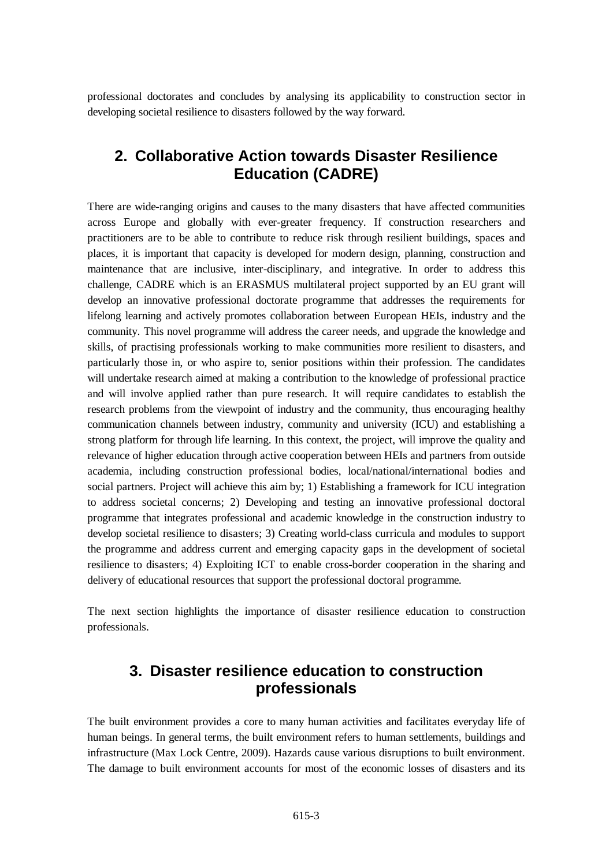professional doctorates and concludes by analysing its applicability to construction sector in developing societal resilience to disasters followed by the way forward.

### **2. Collaborative Action towards Disaster Resilience Education (CADRE)**

There are wide-ranging origins and causes to the many disasters that have affected communities across Europe and globally with ever-greater frequency. If construction researchers and practitioners are to be able to contribute to reduce risk through resilient buildings, spaces and places, it is important that capacity is developed for modern design, planning, construction and maintenance that are inclusive, inter-disciplinary, and integrative. In order to address this challenge, CADRE which is an ERASMUS multilateral project supported by an EU grant will develop an innovative professional doctorate programme that addresses the requirements for lifelong learning and actively promotes collaboration between European HEIs, industry and the community. This novel programme will address the career needs, and upgrade the knowledge and skills, of practising professionals working to make communities more resilient to disasters, and particularly those in, or who aspire to, senior positions within their profession. The candidates will undertake research aimed at making a contribution to the knowledge of professional practice and will involve applied rather than pure research. It will require candidates to establish the research problems from the viewpoint of industry and the community, thus encouraging healthy communication channels between industry, community and university (ICU) and establishing a strong platform for through life learning. In this context, the project, will improve the quality and relevance of higher education through active cooperation between HEIs and partners from outside academia, including construction professional bodies, local/national/international bodies and social partners. Project will achieve this aim by; 1) Establishing a framework for ICU integration to address societal concerns; 2) Developing and testing an innovative professional doctoral programme that integrates professional and academic knowledge in the construction industry to develop societal resilience to disasters; 3) Creating world-class curricula and modules to support the programme and address current and emerging capacity gaps in the development of societal resilience to disasters; 4) Exploiting ICT to enable cross-border cooperation in the sharing and delivery of educational resources that support the professional doctoral programme.

The next section highlights the importance of disaster resilience education to construction professionals.

## **3. Disaster resilience education to construction professionals**

The built environment provides a core to many human activities and facilitates everyday life of human beings. In general terms, the built environment refers to human settlements, buildings and infrastructure [\(Max Lock Centre, 2009\)](#page-11-1). Hazards cause various disruptions to built environment. The damage to built environment accounts for most of the economic losses of disasters and its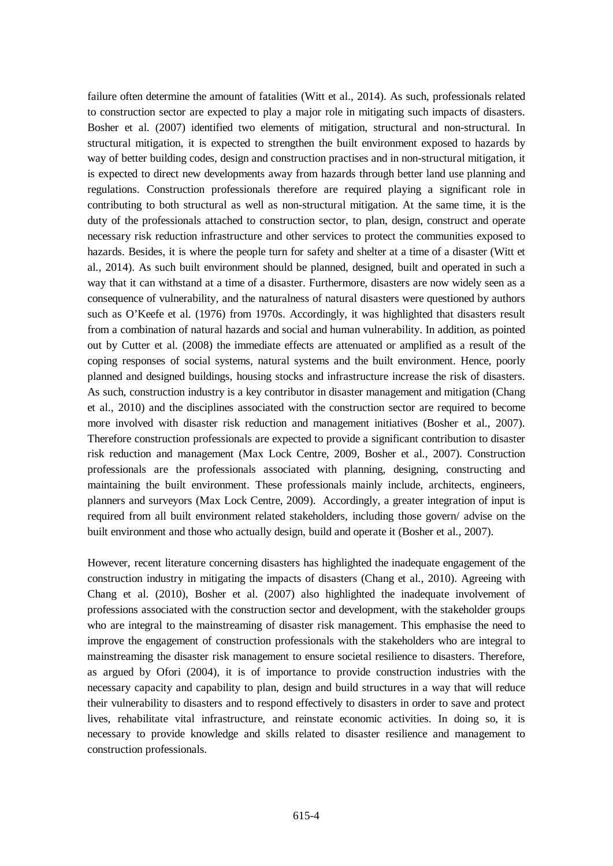failure often determine the amount of fatalities [\(Witt et al., 2014\)](#page-12-0). As such, professionals related to construction sector are expected to play a major role in mitigating such impacts of disasters. [Bosher et al. \(2007\)](#page-11-2) identified two elements of mitigation, structural and non-structural. In structural mitigation, it is expected to strengthen the built environment exposed to hazards by way of better building codes, design and construction practises and in non-structural mitigation, it is expected to direct new developments away from hazards through better land use planning and regulations. Construction professionals therefore are required playing a significant role in contributing to both structural as well as non-structural mitigation. At the same time, it is the duty of the professionals attached to construction sector, to plan, design, construct and operate necessary risk reduction infrastructure and other services to protect the communities exposed to hazards. Besides, it is where the people turn for safety and shelter at a time of a disaster (Witt et [al., 2014\)](#page-12-0). As such built environment should be planned, designed, built and operated in such a way that it can withstand at a time of a disaster. Furthermore, disasters are now widely seen as a consequence of vulnerability, and the naturalness of natural disasters were questioned by authors such as O'Keefe et al. (1976) from 1970s. Accordingly, it was highlighted that disasters result from a combination of natural hazards and social and human vulnerability. In addition, as pointed out by [Cutter et al. \(2008\)](#page-11-3) the immediate effects are attenuated or amplified as a result of the coping responses of social systems, natural systems and the built environment. Hence, poorly planned and designed buildings, housing stocks and infrastructure increase the risk of disasters. As such, construction industry is a key contributor in disaster management and mitigation [\(Chang](#page-11-4)  [et al., 2010\)](#page-11-4) and the disciplines associated with the construction sector are required to become more involved with disaster risk reduction and management initiatives [\(Bosher et al., 2007\)](#page-11-2). Therefore construction professionals are expected to provide a significant contribution to disaster risk reduction and management [\(Max Lock Centre, 2009,](#page-11-1) [Bosher et al., 2007\)](#page-11-2). Construction professionals are the professionals associated with planning, designing, constructing and maintaining the built environment. These professionals mainly include, architects, engineers, planners and surveyors [\(Max Lock Centre, 2009\)](#page-11-1). Accordingly, a greater integration of input is required from all built environment related stakeholders, including those govern/ advise on the built environment and those who actually design, build and operate it [\(Bosher et al., 2007\)](#page-11-2).

However, recent literature concerning disasters has highlighted the inadequate engagement of the construction industry in mitigating the impacts of disasters [\(Chang et al., 2010\)](#page-11-4). Agreeing with [Chang et al. \(2010\)](#page-11-4), [Bosher et al. \(2007\)](#page-11-2) also highlighted the inadequate involvement of professions associated with the construction sector and development, with the stakeholder groups who are integral to the mainstreaming of disaster risk management. This emphasise the need to improve the engagement of construction professionals with the stakeholders who are integral to mainstreaming the disaster risk management to ensure societal resilience to disasters. Therefore, as argued by [Ofori \(2004\)](#page-11-5), it is of importance to provide construction industries with the necessary capacity and capability to plan, design and build structures in a way that will reduce their vulnerability to disasters and to respond effectively to disasters in order to save and protect lives, rehabilitate vital infrastructure, and reinstate economic activities. In doing so, it is necessary to provide knowledge and skills related to disaster resilience and management to construction professionals.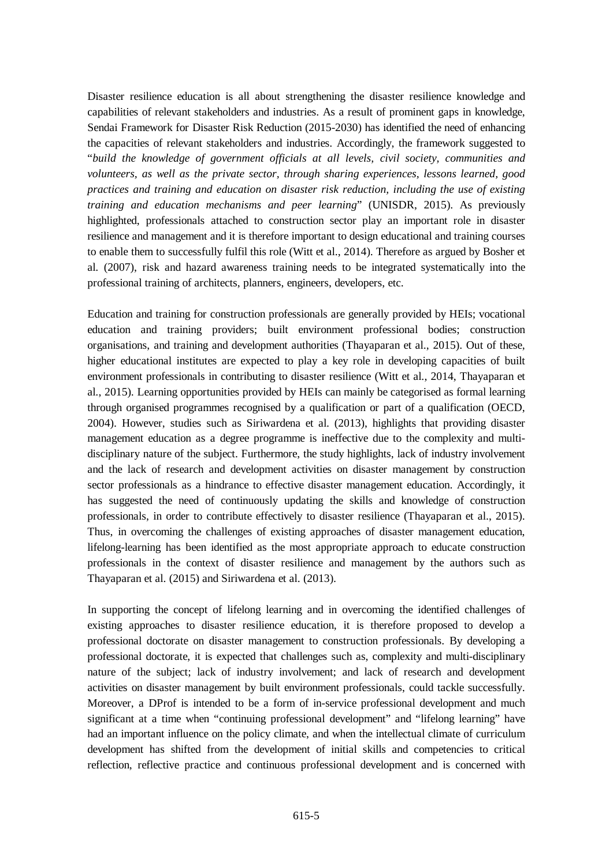Disaster resilience education is all about strengthening the disaster resilience knowledge and capabilities of relevant stakeholders and industries. As a result of prominent gaps in knowledge, Sendai Framework for Disaster Risk Reduction (2015-2030) has identified the need of enhancing the capacities of relevant stakeholders and industries. Accordingly, the framework suggested to "*build the knowledge of government officials at all levels, civil society, communities and volunteers, as well as the private sector, through sharing experiences, lessons learned, good practices and training and education on disaster risk reduction, including the use of existing training and education mechanisms and peer learning*" [\(UNISDR, 2015\)](#page-12-1). As previously highlighted, professionals attached to construction sector play an important role in disaster resilience and management and it is therefore important to design educational and training courses to enable them to successfully fulfil this role [\(Witt et al., 2014\)](#page-12-0). Therefore as argued by [Bosher et](#page-11-2)  [al. \(2007\)](#page-11-2), risk and hazard awareness training needs to be integrated systematically into the professional training of architects, planners, engineers, developers, etc.

Education and training for construction professionals are generally provided by HEIs; vocational education and training providers; built environment professional bodies; construction organisations, and training and development authorities [\(Thayaparan et al., 2015\)](#page-11-6). Out of these, higher educational institutes are expected to play a key role in developing capacities of built environment professionals in contributing to disaster resilience [\(Witt et al., 2014,](#page-12-0) [Thayaparan et](#page-11-6)  [al., 2015\)](#page-11-6). Learning opportunities provided by HEIs can mainly be categorised as formal learning through organised programmes recognised by a qualification or part of a qualification [\(OECD,](#page-11-7)  [2004\)](#page-11-7). However, studies such as [Siriwardena et al. \(2013\)](#page-11-8), highlights that providing disaster management education as a degree programme is ineffective due to the complexity and multidisciplinary nature of the subject. Furthermore, the study highlights, lack of industry involvement and the lack of research and development activities on disaster management by construction sector professionals as a hindrance to effective disaster management education. Accordingly, it has suggested the need of continuously updating the skills and knowledge of construction professionals, in order to contribute effectively to disaster resilience [\(Thayaparan et al., 2015\)](#page-11-6). Thus, in overcoming the challenges of existing approaches of disaster management education, lifelong-learning has been identified as the most appropriate approach to educate construction professionals in the context of disaster resilience and management by the authors such as [Thayaparan et al. \(2015\)](#page-11-6) and [Siriwardena et al. \(2013\)](#page-11-8).

In supporting the concept of lifelong learning and in overcoming the identified challenges of existing approaches to disaster resilience education, it is therefore proposed to develop a professional doctorate on disaster management to construction professionals. By developing a professional doctorate, it is expected that challenges such as, complexity and multi-disciplinary nature of the subject; lack of industry involvement; and lack of research and development activities on disaster management by built environment professionals, could tackle successfully. Moreover, a DProf is intended to be a form of in-service professional development and much significant at a time when "continuing professional development" and "lifelong learning" have had an important influence on the policy climate, and when the intellectual climate of curriculum development has shifted from the development of initial skills and competencies to critical reflection, reflective practice and continuous professional development and is concerned with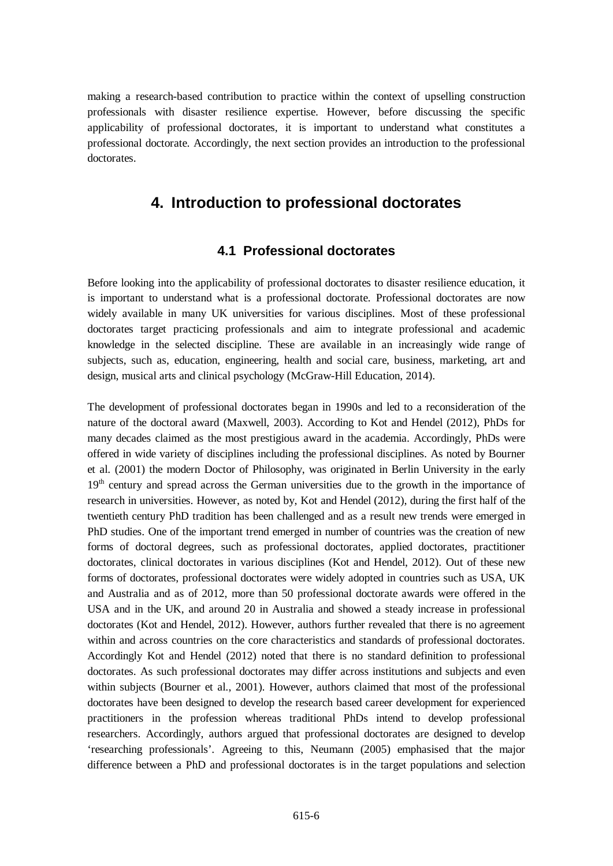making a research-based contribution to practice within the context of upselling construction professionals with disaster resilience expertise. However, before discussing the specific applicability of professional doctorates, it is important to understand what constitutes a professional doctorate. Accordingly, the next section provides an introduction to the professional doctorates.

### **4. Introduction to professional doctorates**

#### **4.1 Professional doctorates**

Before looking into the applicability of professional doctorates to disaster resilience education, it is important to understand what is a professional doctorate. Professional doctorates are now widely available in many UK universities for various disciplines. Most of these professional doctorates target practicing professionals and aim to integrate professional and academic knowledge in the selected discipline. These are available in an increasingly wide range of subjects, such as, education, engineering, health and social care, business, marketing, art and design, musical arts and clinical psychology [\(McGraw-Hill Education, 2014\)](#page-11-9).

The development of professional doctorates began in 1990s and led to a reconsideration of the nature of the doctoral award [\(Maxwell, 2003\)](#page-11-10). According to [Kot and Hendel \(2012\)](#page-11-11), PhDs for many decades claimed as the most prestigious award in the academia. Accordingly, PhDs were offered in wide variety of disciplines including the professional disciplines. As noted by [Bourner](#page-11-12)  [et al. \(2001\)](#page-11-12) the modern Doctor of Philosophy, was originated in Berlin University in the early 19<sup>th</sup> century and spread across the German universities due to the growth in the importance of research in universities. However, as noted by, [Kot and Hendel \(2012\)](#page-11-11), during the first half of the twentieth century PhD tradition has been challenged and as a result new trends were emerged in PhD studies. One of the important trend emerged in number of countries was the creation of new forms of doctoral degrees, such as professional doctorates, applied doctorates, practitioner doctorates, clinical doctorates in various disciplines [\(Kot and Hendel, 2012\)](#page-11-11). Out of these new forms of doctorates, professional doctorates were widely adopted in countries such as USA, UK and Australia and as of 2012, more than 50 professional doctorate awards were offered in the USA and in the UK, and around 20 in Australia and showed a steady increase in professional doctorates [\(Kot and Hendel, 2012\)](#page-11-11). However, authors further revealed that there is no agreement within and across countries on the core characteristics and standards of professional doctorates. Accordingly [Kot and Hendel \(2012\)](#page-11-11) noted that there is no standard definition to professional doctorates. As such professional doctorates may differ across institutions and subjects and even within subjects [\(Bourner et al., 2001\)](#page-11-12). However, authors claimed that most of the professional doctorates have been designed to develop the research based career development for experienced practitioners in the profession whereas traditional PhDs intend to develop professional researchers. Accordingly, authors argued that professional doctorates are designed to develop 'researching professionals'. Agreeing to this, [Neumann \(2005\)](#page-11-13) emphasised that the major difference between a PhD and professional doctorates is in the target populations and selection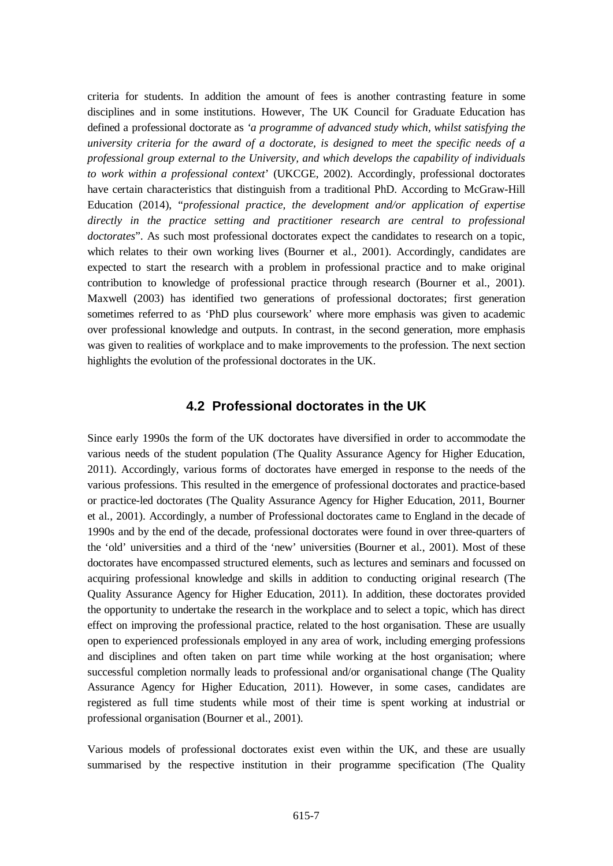criteria for students. In addition the amount of fees is another contrasting feature in some disciplines and in some institutions. However, The UK Council for Graduate Education has defined a professional doctorate as *'a programme of advanced study which, whilst satisfying the university criteria for the award of a doctorate, is designed to meet the specific needs of a professional group external to the University, and which develops the capability of individuals to work within a professional context*' [\(UKCGE, 2002\)](#page-12-2). Accordingly, professional doctorates have certain characteristics that distinguish from a traditional PhD. According to [McGraw-Hill](#page-11-9)  [Education \(2014\)](#page-11-9), "*professional practice, the development and/or application of expertise directly in the practice setting and practitioner research are central to professional doctorates*". As such most professional doctorates expect the candidates to research on a topic, which relates to their own working lives [\(Bourner et al., 2001\)](#page-11-12). Accordingly, candidates are expected to start the research with a problem in professional practice and to make original contribution to knowledge of professional practice through research [\(Bourner et al., 2001\)](#page-11-12). [Maxwell \(2003\)](#page-11-10) has identified two generations of professional doctorates; first generation sometimes referred to as 'PhD plus coursework' where more emphasis was given to academic over professional knowledge and outputs. In contrast, in the second generation, more emphasis was given to realities of workplace and to make improvements to the profession. The next section highlights the evolution of the professional doctorates in the UK.

#### **4.2 Professional doctorates in the UK**

Since early 1990s the form of the UK doctorates have diversified in order to accommodate the various needs of the student population [\(The Quality Assurance Agency for Higher Education,](#page-11-14)  [2011\)](#page-11-14). Accordingly, various forms of doctorates have emerged in response to the needs of the various professions. This resulted in the emergence of professional doctorates and practice-based or practice-led doctorates [\(The Quality Assurance Agency for Higher Education, 2011,](#page-11-14) [Bourner](#page-11-12)  [et al., 2001\)](#page-11-12). Accordingly, a number of Professional doctorates came to England in the decade of 1990s and by the end of the decade, professional doctorates were found in over three-quarters of the 'old' universities and a third of the 'new' universities [\(Bourner et al., 2001\)](#page-11-12). Most of these doctorates have encompassed structured elements, such as lectures and seminars and focussed on acquiring professional knowledge and skills in addition to conducting original research [\(The](#page-11-14)  [Quality Assurance Agency for Higher Education, 2011\)](#page-11-14). In addition, these doctorates provided the opportunity to undertake the research in the workplace and to select a topic, which has direct effect on improving the professional practice, related to the host organisation. These are usually open to experienced professionals employed in any area of work, including emerging professions and disciplines and often taken on part time while working at the host organisation; where successful completion normally leads to professional and/or organisational change [\(The Quality](#page-11-14)  [Assurance Agency for Higher Education, 2011\)](#page-11-14). However, in some cases, candidates are registered as full time students while most of their time is spent working at industrial or professional organisation [\(Bourner et al., 2001\)](#page-11-12).

Various models of professional doctorates exist even within the UK, and these are usually summarised by the respective institution in their programme specification [\(The Quality](#page-11-14)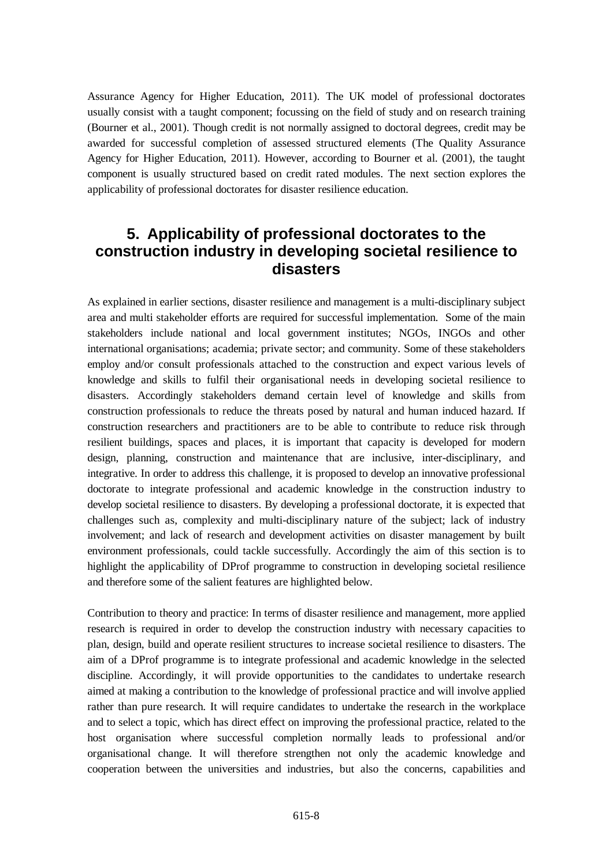[Assurance Agency for Higher Education, 2011\)](#page-11-14). The UK model of professional doctorates usually consist with a taught component; focussing on the field of study and on research training [\(Bourner et al., 2001\)](#page-11-12). Though credit is not normally assigned to doctoral degrees, credit may be awarded for successful completion of assessed structured elements [\(The Quality Assurance](#page-11-14)  [Agency for Higher Education,](#page-11-14) 2011). However, according to [Bourner et al. \(2001\)](#page-11-12), the taught component is usually structured based on credit rated modules. The next section explores the applicability of professional doctorates for disaster resilience education.

# **5. Applicability of professional doctorates to the construction industry in developing societal resilience to disasters**

As explained in earlier sections, disaster resilience and management is a multi-disciplinary subject area and multi stakeholder efforts are required for successful implementation. Some of the main stakeholders include national and local government institutes; NGOs, INGOs and other international organisations; academia; private sector; and community. Some of these stakeholders employ and/or consult professionals attached to the construction and expect various levels of knowledge and skills to fulfil their organisational needs in developing societal resilience to disasters. Accordingly stakeholders demand certain level of knowledge and skills from construction professionals to reduce the threats posed by natural and human induced hazard. If construction researchers and practitioners are to be able to contribute to reduce risk through resilient buildings, spaces and places, it is important that capacity is developed for modern design, planning, construction and maintenance that are inclusive, inter-disciplinary, and integrative. In order to address this challenge, it is proposed to develop an innovative professional doctorate to integrate professional and academic knowledge in the construction industry to develop societal resilience to disasters. By developing a professional doctorate, it is expected that challenges such as, complexity and multi-disciplinary nature of the subject; lack of industry involvement; and lack of research and development activities on disaster management by built environment professionals, could tackle successfully. Accordingly the aim of this section is to highlight the applicability of DProf programme to construction in developing societal resilience and therefore some of the salient features are highlighted below.

Contribution to theory and practice: In terms of disaster resilience and management, more applied research is required in order to develop the construction industry with necessary capacities to plan, design, build and operate resilient structures to increase societal resilience to disasters. The aim of a DProf programme is to integrate professional and academic knowledge in the selected discipline. Accordingly, it will provide opportunities to the candidates to undertake research aimed at making a contribution to the knowledge of professional practice and will involve applied rather than pure research. It will require candidates to undertake the research in the workplace and to select a topic, which has direct effect on improving the professional practice, related to the host organisation where successful completion normally leads to professional and/or organisational change. It will therefore strengthen not only the academic knowledge and cooperation between the universities and industries, but also the concerns, capabilities and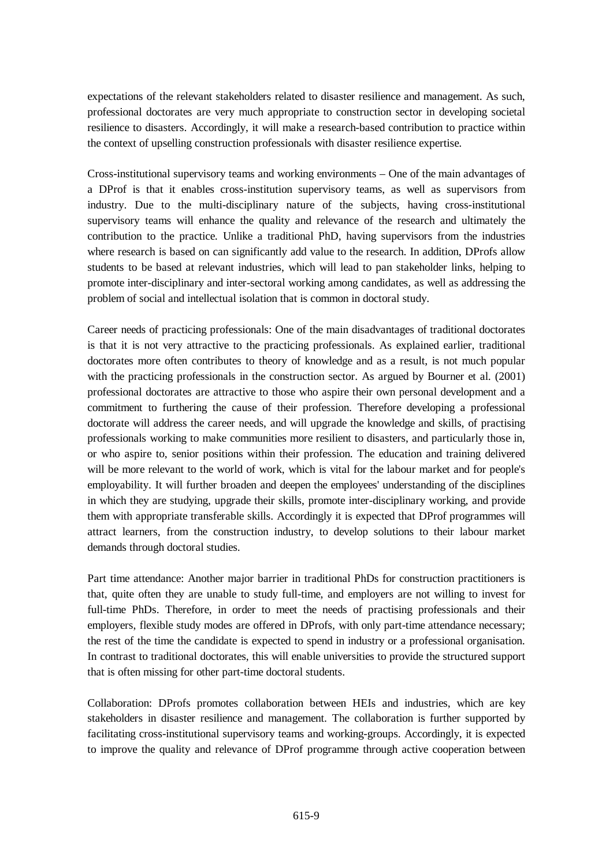expectations of the relevant stakeholders related to disaster resilience and management. As such, professional doctorates are very much appropriate to construction sector in developing societal resilience to disasters. Accordingly, it will make a research-based contribution to practice within the context of upselling construction professionals with disaster resilience expertise.

Cross-institutional supervisory teams and working environments – One of the main advantages of a DProf is that it enables cross-institution supervisory teams, as well as supervisors from industry. Due to the multi-disciplinary nature of the subjects, having cross-institutional supervisory teams will enhance the quality and relevance of the research and ultimately the contribution to the practice. Unlike a traditional PhD, having supervisors from the industries where research is based on can significantly add value to the research. In addition, DProfs allow students to be based at relevant industries, which will lead to pan stakeholder links, helping to promote inter-disciplinary and inter-sectoral working among candidates, as well as addressing the problem of social and intellectual isolation that is common in doctoral study.

Career needs of practicing professionals: One of the main disadvantages of traditional doctorates is that it is not very attractive to the practicing professionals. As explained earlier, traditional doctorates more often contributes to theory of knowledge and as a result, is not much popular with the practicing professionals in the construction sector. As argued by [Bourner et al. \(2001\)](#page-11-12) professional doctorates are attractive to those who aspire their own personal development and a commitment to furthering the cause of their profession. Therefore developing a professional doctorate will address the career needs, and will upgrade the knowledge and skills, of practising professionals working to make communities more resilient to disasters, and particularly those in, or who aspire to, senior positions within their profession. The education and training delivered will be more relevant to the world of work, which is vital for the labour market and for people's employability. It will further broaden and deepen the employees' understanding of the disciplines in which they are studying, upgrade their skills, promote inter-disciplinary working, and provide them with appropriate transferable skills. Accordingly it is expected that DProf programmes will attract learners, from the construction industry, to develop solutions to their labour market demands through doctoral studies.

Part time attendance: Another major barrier in traditional PhDs for construction practitioners is that, quite often they are unable to study full-time, and employers are not willing to invest for full-time PhDs. Therefore, in order to meet the needs of practising professionals and their employers, flexible study modes are offered in DProfs, with only part-time attendance necessary; the rest of the time the candidate is expected to spend in industry or a professional organisation. In contrast to traditional doctorates, this will enable universities to provide the structured support that is often missing for other part-time doctoral students.

Collaboration: DProfs promotes collaboration between HEIs and industries, which are key stakeholders in disaster resilience and management. The collaboration is further supported by facilitating cross-institutional supervisory teams and working-groups. Accordingly, it is expected to improve the quality and relevance of DProf programme through active cooperation between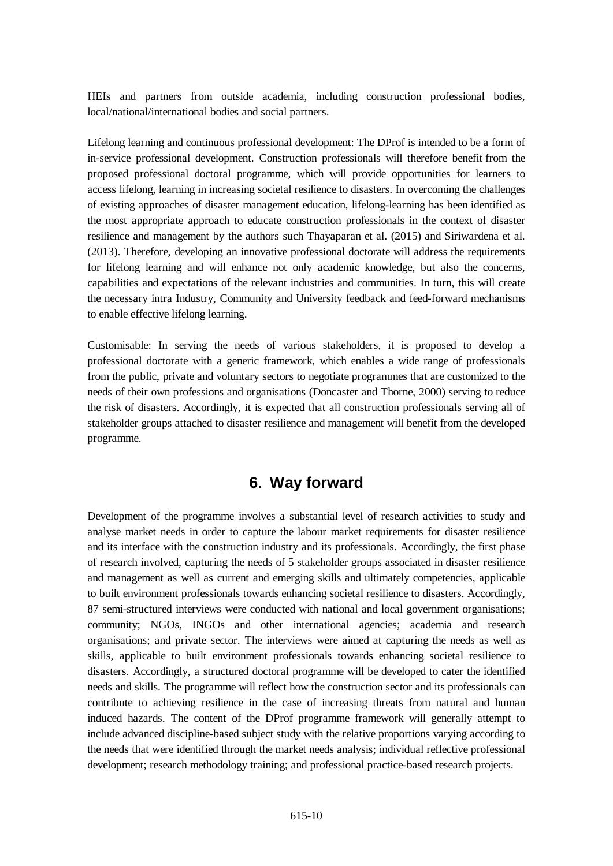HEIs and partners from outside academia, including construction professional bodies, local/national/international bodies and social partners.

Lifelong learning and continuous professional development: The DProf is intended to be a form of in-service professional development. Construction professionals will therefore benefit from the proposed professional doctoral programme, which will provide opportunities for learners to access lifelong, learning in increasing societal resilience to disasters. In overcoming the challenges of existing approaches of disaster management education, lifelong-learning has been identified as the most appropriate approach to educate construction professionals in the context of disaster resilience and management by the authors such [Thayaparan et al. \(2015\)](#page-11-6) and [Siriwardena et al.](#page-11-8)  [\(2013\)](#page-11-8). Therefore, developing an innovative professional doctorate will address the requirements for lifelong learning and will enhance not only academic knowledge, but also the concerns, capabilities and expectations of the relevant industries and communities. In turn, this will create the necessary intra Industry, Community and University feedback and feed-forward mechanisms to enable effective lifelong learning.

Customisable: In serving the needs of various stakeholders, it is proposed to develop a professional doctorate with a generic framework, which enables a wide range of professionals from the public, private and voluntary sectors to negotiate programmes that are customized to the needs of their own professions and organisations [\(Doncaster and Thorne, 2000\)](#page-11-15) serving to reduce the risk of disasters. Accordingly, it is expected that all construction professionals serving all of stakeholder groups attached to disaster resilience and management will benefit from the developed programme.

## **6. Way forward**

Development of the programme involves a substantial level of research activities to study and analyse market needs in order to capture the labour market requirements for disaster resilience and its interface with the construction industry and its professionals. Accordingly, the first phase of research involved, capturing the needs of 5 stakeholder groups associated in disaster resilience and management as well as current and emerging skills and ultimately competencies, applicable to built environment professionals towards enhancing societal resilience to disasters. Accordingly, 87 semi-structured interviews were conducted with national and local government organisations; community; NGOs, INGOs and other international agencies; academia and research organisations; and private sector. The interviews were aimed at capturing the needs as well as skills, applicable to built environment professionals towards enhancing societal resilience to disasters. Accordingly, a structured doctoral programme will be developed to cater the identified needs and skills. The programme will reflect how the construction sector and its professionals can contribute to achieving resilience in the case of increasing threats from natural and human induced hazards. The content of the DProf programme framework will generally attempt to include advanced discipline-based subject study with the relative proportions varying according to the needs that were identified through the market needs analysis; individual reflective professional development; research methodology training; and professional practice-based research projects.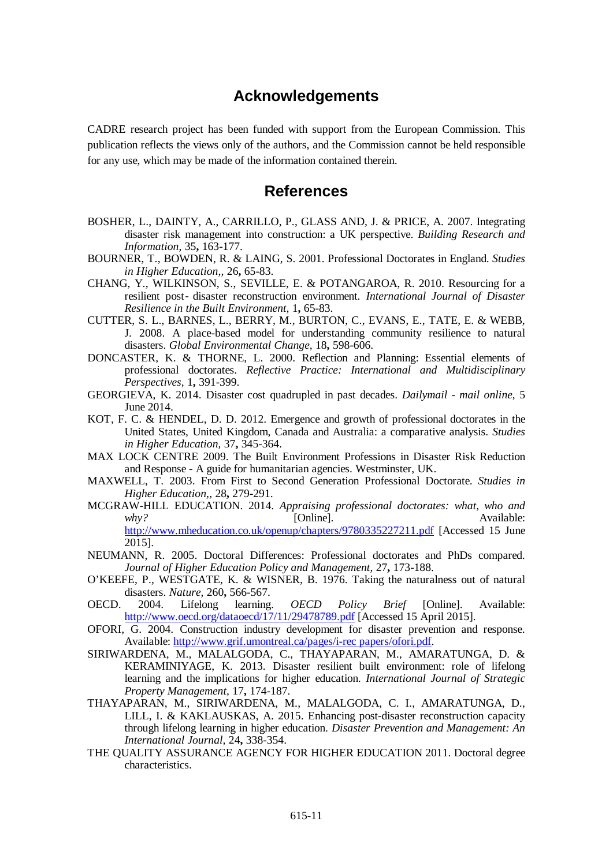### **Acknowledgements**

CADRE research project has been funded with support from the European Commission. This publication reflects the views only of the authors, and the Commission cannot be held responsible for any use, which may be made of the information contained therein.

#### **References**

- <span id="page-11-2"></span>BOSHER, L., DAINTY, A., CARRILLO, P., GLASS AND, J. & PRICE, A. 2007. Integrating disaster risk management into construction: a UK perspective. *Building Research and Information,* 35**,** 163-177.
- <span id="page-11-12"></span>BOURNER, T., BOWDEN, R. & LAING, S. 2001. Professional Doctorates in England. *Studies in Higher Education,,* 26**,** 65-83.
- <span id="page-11-4"></span>CHANG, Y., WILKINSON, S., SEVILLE, E. & POTANGAROA, R. 2010. Resourcing for a resilient post‐ disaster reconstruction environment. *International Journal of Disaster Resilience in the Built Environment,* 1**,** 65-83.
- <span id="page-11-3"></span>CUTTER, S. L., BARNES, L., BERRY, M., BURTON, C., EVANS, E., TATE, E. & WEBB, J. 2008. A place-based model for understanding community resilience to natural disasters. *Global Environmental Change,* 18**,** 598-606.
- <span id="page-11-15"></span>DONCASTER, K. & THORNE, L. 2000. Reflection and Planning: Essential elements of professional doctorates. *Reflective Practice: International and Multidisciplinary Perspectives,* 1**,** 391-399.
- <span id="page-11-0"></span>GEORGIEVA, K. 2014. Disaster cost quadrupled in past decades. *Dailymail - mail online*, 5 June 2014.
- <span id="page-11-11"></span>KOT, F. C. & HENDEL, D. D. 2012. Emergence and growth of professional doctorates in the United States, United Kingdom, Canada and Australia: a comparative analysis. *Studies in Higher Education,* 37**,** 345-364.
- <span id="page-11-1"></span>MAX LOCK CENTRE 2009. The Built Environment Professions in Disaster Risk Reduction and Response - A guide for humanitarian agencies. Westminster, UK.
- <span id="page-11-10"></span>MAXWELL, T. 2003. From First to Second Generation Professional Doctorate. *Studies in Higher Education,,* 28**,** 279-291.
- <span id="page-11-9"></span>MCGRAW-HILL EDUCATION. 2014. *Appraising professional doctorates: what, who and why?* [Online]. **Available:** <http://www.mheducation.co.uk/openup/chapters/9780335227211.pdf> [Accessed 15 June 2015].
- <span id="page-11-13"></span>NEUMANN, R. 2005. Doctoral Differences: Professional doctorates and PhDs compared. *Journal of Higher Education Policy and Management,* 27**,** 173-188.
- O'KEEFE, P., WESTGATE, K. & WISNER, B. 1976. Taking the naturalness out of natural disasters. *Nature,* 260**,** 566-567.
- <span id="page-11-7"></span>OECD. 2004. Lifelong learning. *OECD Policy Brief* [Online]. Available: <http://www.oecd.org/dataoecd/17/11/29478789.pdf> [Accessed 15 April 2015].
- <span id="page-11-5"></span>OFORI, G. 2004. Construction industry development for disaster prevention and response. Available: [http://www.grif.umontreal.ca/pages/i-rec papers/ofori.pdf.](http://www.grif.umontreal.ca/pages/i-rec%20papers/ofori.pdf)
- <span id="page-11-8"></span>SIRIWARDENA, M., MALALGODA, C., THAYAPARAN, M., AMARATUNGA, D. & KERAMINIYAGE, K. 2013. Disaster resilient built environment: role of lifelong learning and the implications for higher education. *International Journal of Strategic Property Management,* 17**,** 174-187.
- <span id="page-11-6"></span>THAYAPARAN, M., SIRIWARDENA, M., MALALGODA, C. I., AMARATUNGA, D., LILL, I. & KAKLAUSKAS, A. 2015. Enhancing post-disaster reconstruction capacity through lifelong learning in higher education. *Disaster Prevention and Management: An International Journal,* 24**,** 338-354.
- <span id="page-11-14"></span>THE QUALITY ASSURANCE AGENCY FOR HIGHER EDUCATION 2011. Doctoral degree characteristics.